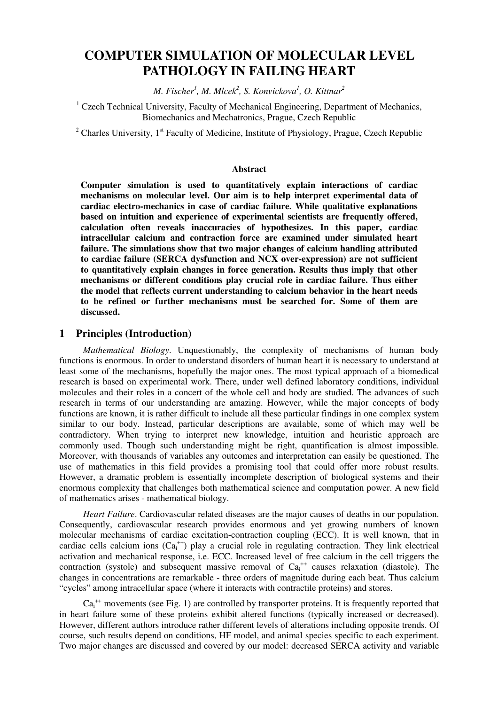# **COMPUTER SIMULATION OF MOLECULAR LEVEL PATHOLOGY IN FAILING HEART**

*M. Fischer<sup>1</sup> , M. Mlcek<sup>2</sup> , S. Konvickova<sup>1</sup> , O. Kittnar<sup>2</sup>*

<sup>1</sup> Czech Technical University, Faculty of Mechanical Engineering, Department of Mechanics, Biomechanics and Mechatronics, Prague, Czech Republic

<sup>2</sup> Charles University,  $1<sup>st</sup>$  Faculty of Medicine, Institute of Physiology, Prague, Czech Republic

#### **Abstract**

**Computer simulation is used to quantitatively explain interactions of cardiac mechanisms on molecular level. Our aim is to help interpret experimental data of cardiac electro-mechanics in case of cardiac failure. While qualitative explanations based on intuition and experience of experimental scientists are frequently offered, calculation often reveals inaccuracies of hypothesizes. In this paper, cardiac intracellular calcium and contraction force are examined under simulated heart failure. The simulations show that two major changes of calcium handling attributed to cardiac failure (SERCA dysfunction and NCX over-expression) are not sufficient to quantitatively explain changes in force generation. Results thus imply that other mechanisms or different conditions play crucial role in cardiac failure. Thus either the model that reflects current understanding to calcium behavior in the heart needs to be refined or further mechanisms must be searched for. Some of them are discussed.** 

#### **1 Principles (Introduction)**

*Mathematical Biology*. Unquestionably, the complexity of mechanisms of human body functions is enormous. In order to understand disorders of human heart it is necessary to understand at least some of the mechanisms, hopefully the major ones. The most typical approach of a biomedical research is based on experimental work. There, under well defined laboratory conditions, individual molecules and their roles in a concert of the whole cell and body are studied. The advances of such research in terms of our understanding are amazing. However, while the major concepts of body functions are known, it is rather difficult to include all these particular findings in one complex system similar to our body. Instead, particular descriptions are available, some of which may well be contradictory. When trying to interpret new knowledge, intuition and heuristic approach are commonly used. Though such understanding might be right, quantification is almost impossible. Moreover, with thousands of variables any outcomes and interpretation can easily be questioned. The use of mathematics in this field provides a promising tool that could offer more robust results. However, a dramatic problem is essentially incomplete description of biological systems and their enormous complexity that challenges both mathematical science and computation power. A new field of mathematics arises - mathematical biology.

*Heart Failure*. Cardiovascular related diseases are the major causes of deaths in our population. Consequently, cardiovascular research provides enormous and yet growing numbers of known molecular mechanisms of cardiac excitation-contraction coupling (ECC). It is well known, that in cardiac cells calcium ions  $(Ca_i^{++})$  play a crucial role in regulating contraction. They link electrical activation and mechanical response, i.e. ECC. Increased level of free calcium in the cell triggers the contraction (systole) and subsequent massive removal of  $Ca<sub>i</sub><sup>++</sup>$  causes relaxation (diastole). The changes in concentrations are remarkable - three orders of magnitude during each beat. Thus calcium "cycles" among intracellular space (where it interacts with contractile proteins) and stores.

 $Ca<sub>i</sub><sup>++</sup>$  movements (see Fig. 1) are controlled by transporter proteins. It is frequently reported that in heart failure some of these proteins exhibit altered functions (typically increased or decreased). However, different authors introduce rather different levels of alterations including opposite trends. Of course, such results depend on conditions, HF model, and animal species specific to each experiment. Two major changes are discussed and covered by our model: decreased SERCA activity and variable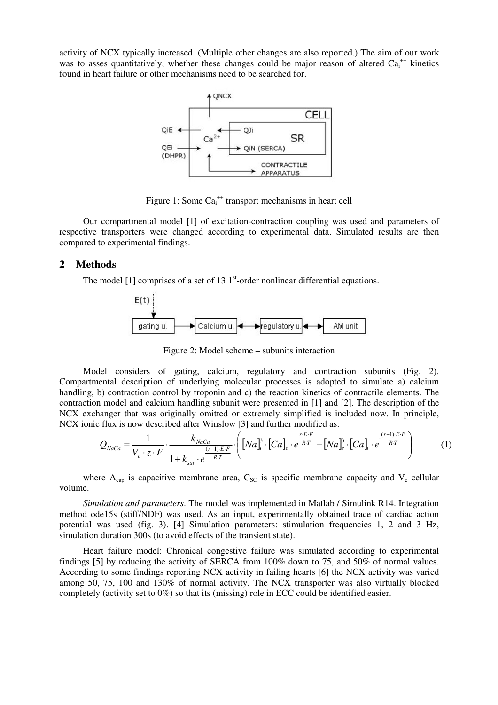activity of NCX typically increased. (Multiple other changes are also reported.) The aim of our work was to asses quantitatively, whether these changes could be major reason of altered Ca<sub>i</sub><sup>++</sup> kinetics found in heart failure or other mechanisms need to be searched for.



Figure 1: Some  $Ca<sub>i</sub><sup>++</sup>$  transport mechanisms in heart cell

Our compartmental model [1] of excitation-contraction coupling was used and parameters of respective transporters were changed according to experimental data. Simulated results are then compared to experimental findings.

# **2 Methods**

The model [1] comprises of a set of 13  $1<sup>st</sup>$ -order nonlinear differential equations.



Figure 2: Model scheme – subunits interaction

Model considers of gating, calcium, regulatory and contraction subunits (Fig. 2). Compartmental description of underlying molecular processes is adopted to simulate a) calcium handling, b) contraction control by troponin and c) the reaction kinetics of contractile elements. The contraction model and calcium handling subunit were presented in [1] and [2]. The description of the NCX exchanger that was originally omitted or extremely simplified is included now. In principle, NCX ionic flux is now described after Winslow [3] and further modified as:

$$
Q_{NaCa} = \frac{1}{V_c \cdot z \cdot F} \cdot \frac{k_{NaCa}}{1 + k_{sat} \cdot e^{\frac{(r-1) \cdot E \cdot F}{RT}}} \cdot \left( \left[ Na_{i}^{B} \cdot \left[ Ca \right]_{e} \cdot e^{\frac{r \cdot E \cdot F}{RT}} - \left[ Na_{e}^{B} \cdot \left[ Ca \right]_{e} \cdot e^{\frac{(r-1) \cdot E \cdot F}{RT}} \right] \right) \tag{1}
$$

where  $A_{cap}$  is capacitive membrane area,  $C_{SC}$  is specific membrane capacity and  $V_c$  cellular volume.

*Simulation and parameters*. The model was implemented in Matlab / Simulink R14. Integration method ode15s (stiff/NDF) was used. As an input, experimentally obtained trace of cardiac action potential was used (fig. 3). [4] Simulation parameters: stimulation frequencies 1, 2 and 3 Hz, simulation duration 300s (to avoid effects of the transient state).

Heart failure model: Chronical congestive failure was simulated according to experimental findings [5] by reducing the activity of SERCA from 100% down to 75, and 50% of normal values. According to some findings reporting NCX activity in failing hearts [6] the NCX activity was varied among 50, 75, 100 and 130% of normal activity. The NCX transporter was also virtually blocked completely (activity set to 0%) so that its (missing) role in ECC could be identified easier.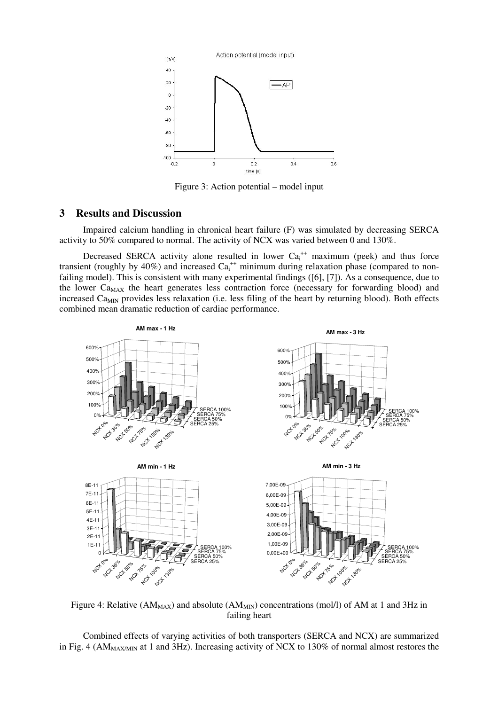

Figure 3: Action potential – model input

# **3 Results and Discussion**

Impaired calcium handling in chronical heart failure (F) was simulated by decreasing SERCA activity to 50% compared to normal. The activity of NCX was varied between 0 and 130%.

Decreased SERCA activity alone resulted in lower  $Ca<sub>i</sub><sup>++</sup>$  maximum (peek) and thus force transient (roughly by 40%) and increased  $Ca<sub>i</sub><sup>++</sup>$  minimum during relaxation phase (compared to nonfailing model). This is consistent with many experimental findings ([6], [7]). As a consequence, due to the lower  $Ca<sub>MAX</sub>$  the heart generates less contraction force (necessary for forwarding blood) and increased Ca<sub>MIN</sub> provides less relaxation (i.e. less filing of the heart by returning blood). Both effects combined mean dramatic reduction of cardiac performance.



Figure 4: Relative ( $AM_{MAX}$ ) and absolute ( $AM_{MIN}$ ) concentrations (mol/l) of AM at 1 and 3Hz in failing heart

Combined effects of varying activities of both transporters (SERCA and NCX) are summarized in Fig. 4 ( $AM_{MAX/MIN}$  at 1 and 3Hz). Increasing activity of NCX to 130% of normal almost restores the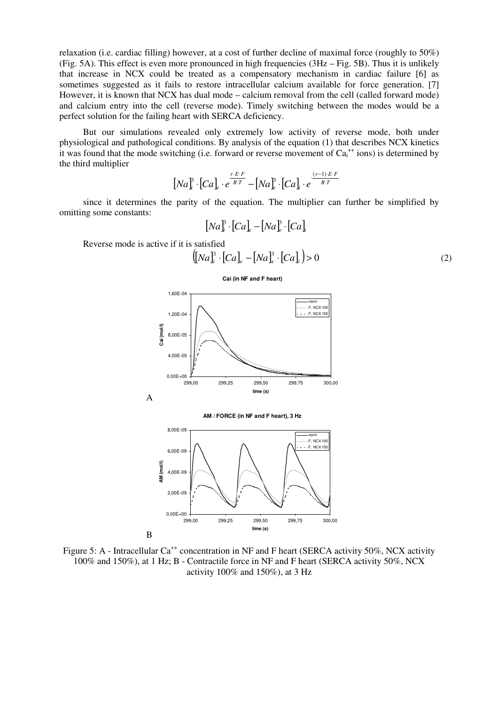relaxation (i.e. cardiac filling) however, at a cost of further decline of maximal force (roughly to 50%) (Fig. 5A). This effect is even more pronounced in high frequencies (3Hz – Fig. 5B). Thus it is unlikely that increase in NCX could be treated as a compensatory mechanism in cardiac failure [6] as sometimes suggested as it fails to restore intracellular calcium available for force generation. [7] However, it is known that NCX has dual mode – calcium removal from the cell (called forward mode) and calcium entry into the cell (reverse mode). Timely switching between the modes would be a perfect solution for the failing heart with SERCA deficiency.

But our simulations revealed only extremely low activity of reverse mode, both under physiological and pathological conditions. By analysis of the equation (1) that describes NCX kinetics it was found that the mode switching (i.e. forward or reverse movement of  $Ca<sub>i</sub><sup>++</sup> ions$ ) is determined by the third multiplier

$$
\left[Na\right]_i^B \cdot \left[Ca\right]_e \cdot e^{\frac{r \cdot E \cdot F}{RT}} - \left[Na\right]_e^B \cdot \left[Ca\right]_i \cdot e^{\frac{(r-1) \cdot E \cdot F}{RT}}
$$

since it determines the parity of the equation. The multiplier can further be simplified by omitting some constants:

$$
[Na]^3 \cdot [Ca]_e - [Na]^3_e \cdot [Ca]_i
$$

Reverse mode is active if it is satisfied

$$
([Na]_i^3 \cdot [Ca]_e - [Na]_e^3 \cdot [Ca]_i) > 0
$$
 (2)







Figure 5: A - Intracellular Ca<sup>++</sup> concentration in NF and F heart (SERCA activity 50%, NCX activity 100% and 150%), at 1 Hz; B - Contractile force in NF and F heart (SERCA activity 50%, NCX activity 100% and 150%), at 3 Hz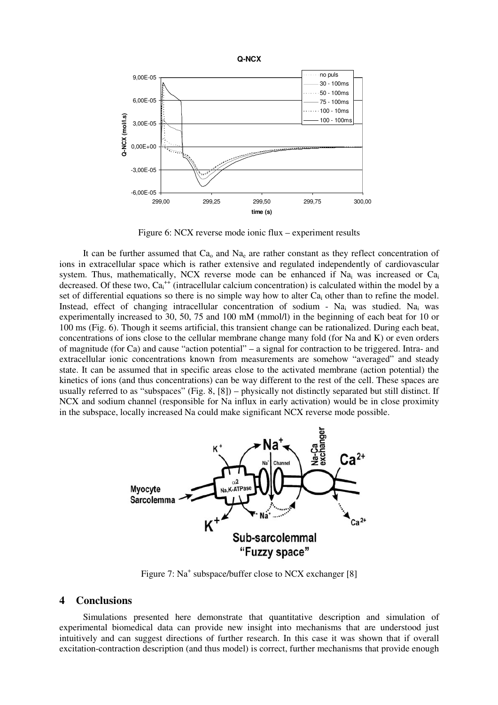

Figure 6: NCX reverse mode ionic flux – experiment results

It can be further assumed that  $Ca<sub>o</sub>$  and  $Na<sub>e</sub>$  are rather constant as they reflect concentration of ions in extracellular space which is rather extensive and regulated independently of cardiovascular system. Thus, mathematically, NCX reverse mode can be enhanced if  $Na<sub>i</sub>$  was increased or  $Ca<sub>i</sub>$ decreased. Of these two,  $Ca<sub>i</sub><sup>++</sup>$  (intracellular calcium concentration) is calculated within the model by a set of differential equations so there is no simple way how to alter  $Ca<sub>i</sub>$  other than to refine the model. Instead, effect of changing intracellular concentration of sodium - Na<sub>i</sub> was studied. Na<sub>i</sub> was experimentally increased to 30, 50, 75 and 100 mM (mmol/l) in the beginning of each beat for 10 or 100 ms (Fig. 6). Though it seems artificial, this transient change can be rationalized. During each beat, concentrations of ions close to the cellular membrane change many fold (for Na and K) or even orders of magnitude (for Ca) and cause "action potential" – a signal for contraction to be triggered. Intra- and extracellular ionic concentrations known from measurements are somehow "averaged" and steady state. It can be assumed that in specific areas close to the activated membrane (action potential) the kinetics of ions (and thus concentrations) can be way different to the rest of the cell. These spaces are usually referred to as "subspaces" (Fig. 8, [8]) – physically not distinctly separated but still distinct. If NCX and sodium channel (responsible for Na influx in early activation) would be in close proximity in the subspace, locally increased Na could make significant NCX reverse mode possible.



Figure 7: Na<sup>+</sup> subspace/buffer close to NCX exchanger [8]

## **4 Conclusions**

Simulations presented here demonstrate that quantitative description and simulation of experimental biomedical data can provide new insight into mechanisms that are understood just intuitively and can suggest directions of further research. In this case it was shown that if overall excitation-contraction description (and thus model) is correct, further mechanisms that provide enough